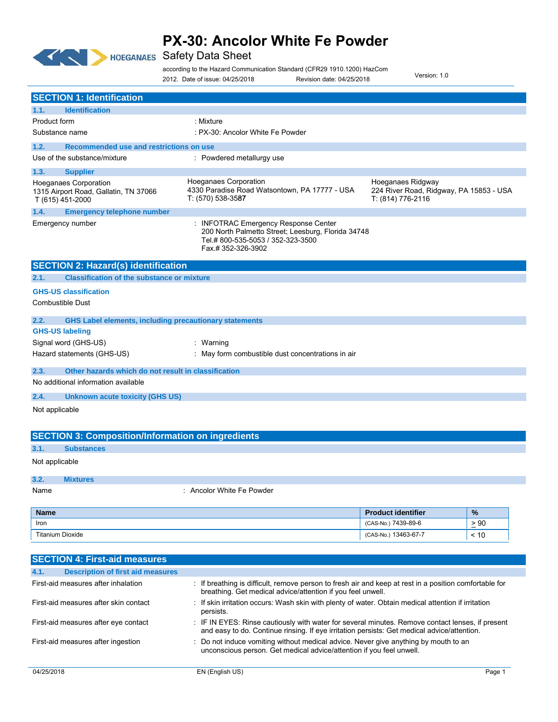

according to the Hazard Communication Standard (CFR29 1910.1200) HazCom

Version: 1.0

|                                                                                           | 2012. Date of issue: 04/25/2018                                                                                                                     | Revision date: 04/25/2018              |                                         |
|-------------------------------------------------------------------------------------------|-----------------------------------------------------------------------------------------------------------------------------------------------------|----------------------------------------|-----------------------------------------|
| <b>SECTION 1: Identification</b>                                                          |                                                                                                                                                     |                                        |                                         |
| <b>Identification</b><br>1.1.                                                             |                                                                                                                                                     |                                        |                                         |
| Product form                                                                              | : Mixture                                                                                                                                           |                                        |                                         |
| Substance name                                                                            | : PX-30: Ancolor White Fe Powder                                                                                                                    |                                        |                                         |
| Recommended use and restrictions on use<br>1.2.                                           |                                                                                                                                                     |                                        |                                         |
| Use of the substance/mixture                                                              | : Powdered metallurgy use                                                                                                                           |                                        |                                         |
| 1.3.<br><b>Supplier</b>                                                                   |                                                                                                                                                     |                                        |                                         |
| <b>Hoeganaes Corporation</b><br>1315 Airport Road, Gallatin, TN 37066<br>T (615) 451-2000 | Hoeganaes Corporation<br>4330 Paradise Road Watsontown, PA 17777 - USA<br>T: (570) 538-3587                                                         | Hoeganaes Ridgway<br>T: (814) 776-2116 | 224 River Road, Ridgway, PA 15853 - USA |
| 1.4.<br><b>Emergency telephone number</b>                                                 |                                                                                                                                                     |                                        |                                         |
| Emergency number                                                                          | : INFOTRAC Emergency Response Center<br>200 North Palmetto Street; Leesburg, Florida 34748<br>Tel.#800-535-5053 / 352-323-3500<br>Fax.#352-326-3902 |                                        |                                         |
| <b>SECTION 2: Hazard(s) identification</b>                                                |                                                                                                                                                     |                                        |                                         |
| 2.1.<br><b>Classification of the substance or mixture</b>                                 |                                                                                                                                                     |                                        |                                         |
| <b>GHS-US classification</b>                                                              |                                                                                                                                                     |                                        |                                         |
| <b>Combustible Dust</b>                                                                   |                                                                                                                                                     |                                        |                                         |
| 2.2.                                                                                      | <b>GHS Label elements, including precautionary statements</b>                                                                                       |                                        |                                         |
| <b>GHS-US labeling</b>                                                                    |                                                                                                                                                     |                                        |                                         |
| Signal word (GHS-US)                                                                      | : Warning                                                                                                                                           |                                        |                                         |
| Hazard statements (GHS-US)                                                                | : May form combustible dust concentrations in air                                                                                                   |                                        |                                         |
| 2.3.<br>Other hazards which do not result in classification                               |                                                                                                                                                     |                                        |                                         |
| No additional information available                                                       |                                                                                                                                                     |                                        |                                         |
| 2.4.<br><b>Unknown acute toxicity (GHS US)</b>                                            |                                                                                                                                                     |                                        |                                         |
| Not applicable                                                                            |                                                                                                                                                     |                                        |                                         |
|                                                                                           |                                                                                                                                                     |                                        |                                         |
| <b>SECTION 3: Composition/Information on ingredients</b>                                  |                                                                                                                                                     |                                        |                                         |
| 3.1.<br><b>Substances</b>                                                                 |                                                                                                                                                     |                                        |                                         |
| Not applicable                                                                            |                                                                                                                                                     |                                        |                                         |
| 3.2.<br><b>Mixtures</b>                                                                   |                                                                                                                                                     |                                        |                                         |
| Name                                                                                      | : Ancolor White Fe Powder                                                                                                                           |                                        |                                         |
|                                                                                           |                                                                                                                                                     |                                        |                                         |
| <b>Name</b>                                                                               |                                                                                                                                                     | <b>Product identifier</b>              | $\%$                                    |
| Iron                                                                                      |                                                                                                                                                     | (CAS-No.) 7439-89-6                    | $\geq 90$                               |
| <b>Titanium Dioxide</b>                                                                   |                                                                                                                                                     | (CAS-No.) 13463-67-7                   | ~10                                     |
| <b>CECTION A. Final and measures</b>                                                      |                                                                                                                                                     |                                        |                                         |

| ISECTION 4. FIISI-diu Illedsules                 |                                                                                                                                                                                                 |        |
|--------------------------------------------------|-------------------------------------------------------------------------------------------------------------------------------------------------------------------------------------------------|--------|
| <b>Description of first aid measures</b><br>4.1. |                                                                                                                                                                                                 |        |
| First-aid measures after inhalation              | : If breathing is difficult, remove person to fresh air and keep at rest in a position comfortable for<br>breathing. Get medical advice/attention if you feel unwell.                           |        |
| First-aid measures after skin contact            | : If skin irritation occurs: Wash skin with plenty of water. Obtain medical attention if irritation<br>persists.                                                                                |        |
| First-aid measures after eye contact             | : IF IN EYES: Rinse cautiously with water for several minutes. Remove contact lenses, if present<br>and easy to do. Continue rinsing. If eye irritation persists: Get medical advice/attention. |        |
| First-aid measures after ingestion               | : Do not induce vomiting without medical advice. Never give anything by mouth to an<br>unconscious person. Get medical advice/attention if you feel unwell.                                     |        |
| 04/25/2018                                       | EN (English US)                                                                                                                                                                                 | Page 1 |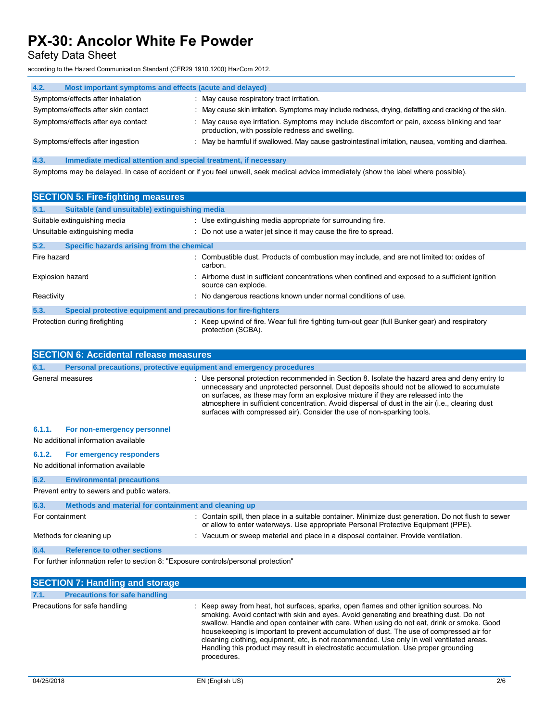Safety Data Sheet

according to the Hazard Communication Standard (CFR29 1910.1200) HazCom 2012.

| 4.2.<br>Most important symptoms and effects (acute and delayed) |                                                                                                                                                  |
|-----------------------------------------------------------------|--------------------------------------------------------------------------------------------------------------------------------------------------|
| Symptoms/effects after inhalation                               | : May cause respiratory tract irritation.                                                                                                        |
| Symptoms/effects after skin contact                             | : May cause skin irritation. Symptoms may include redness, drying, defatting and cracking of the skin.                                           |
| Symptoms/effects after eye contact                              | : May cause eye irritation. Symptoms may include discomfort or pain, excess blinking and tear<br>production, with possible redness and swelling. |
| Symptoms/effects after ingestion                                | : May be harmful if swallowed. May cause gastrointestinal irritation, nausea, vomiting and diarrhea.                                             |

**4.3. Immediate medical attention and special treatment, if necessary**

Symptoms may be delayed. In case of accident or if you feel unwell, seek medical advice immediately (show the label where possible).

| <b>SECTION 5: Fire-fighting measures</b> |                                                                |                                                                                                                        |
|------------------------------------------|----------------------------------------------------------------|------------------------------------------------------------------------------------------------------------------------|
| 5.1.                                     | Suitable (and unsuitable) extinguishing media                  |                                                                                                                        |
|                                          | Suitable extinguishing media                                   | : Use extinguishing media appropriate for surrounding fire.                                                            |
|                                          | Unsuitable extinguishing media                                 | : Do not use a water jet since it may cause the fire to spread.                                                        |
| 5.2.                                     | Specific hazards arising from the chemical                     |                                                                                                                        |
| Fire hazard                              |                                                                | : Combustible dust. Products of combustion may include, and are not limited to: oxides of<br>carbon.                   |
| <b>Explosion hazard</b>                  |                                                                | : Airborne dust in sufficient concentrations when confined and exposed to a sufficient ignition<br>source can explode. |
| Reactivity                               |                                                                | : No dangerous reactions known under normal conditions of use.                                                         |
| 5.3.                                     | Special protective equipment and precautions for fire-fighters |                                                                                                                        |
|                                          | Protection during firefighting                                 | : Keep upwind of fire. Wear full fire fighting turn-out gear (full Bunker gear) and respiratory<br>protection (SCBA).  |

| <b>SECTION 6: Accidental release measures</b> |                                                                     |                                                                                                                                                                                                                                                                                                                                                                                                                                                             |  |
|-----------------------------------------------|---------------------------------------------------------------------|-------------------------------------------------------------------------------------------------------------------------------------------------------------------------------------------------------------------------------------------------------------------------------------------------------------------------------------------------------------------------------------------------------------------------------------------------------------|--|
| 6.1.                                          | Personal precautions, protective equipment and emergency procedures |                                                                                                                                                                                                                                                                                                                                                                                                                                                             |  |
|                                               | General measures                                                    | : Use personal protection recommended in Section 8. Isolate the hazard area and deny entry to<br>unnecessary and unprotected personnel. Dust deposits should not be allowed to accumulate<br>on surfaces, as these may form an explosive mixture if they are released into the<br>atmosphere in sufficient concentration. Avoid dispersal of dust in the air (i.e., clearing dust<br>surfaces with compressed air). Consider the use of non-sparking tools. |  |
| 6.1.1.                                        | For non-emergency personnel                                         |                                                                                                                                                                                                                                                                                                                                                                                                                                                             |  |
|                                               | No additional information available                                 |                                                                                                                                                                                                                                                                                                                                                                                                                                                             |  |
| 6.1.2.                                        | For emergency responders                                            |                                                                                                                                                                                                                                                                                                                                                                                                                                                             |  |
|                                               | No additional information available                                 |                                                                                                                                                                                                                                                                                                                                                                                                                                                             |  |
| 6.2.                                          | <b>Environmental precautions</b>                                    |                                                                                                                                                                                                                                                                                                                                                                                                                                                             |  |
|                                               | Prevent entry to sewers and public waters.                          |                                                                                                                                                                                                                                                                                                                                                                                                                                                             |  |
| 6.3.                                          | Methods and material for containment and cleaning up                |                                                                                                                                                                                                                                                                                                                                                                                                                                                             |  |
| For containment                               |                                                                     | : Contain spill, then place in a suitable container. Minimize dust generation. Do not flush to sewer<br>or allow to enter waterways. Use appropriate Personal Protective Equipment (PPE).                                                                                                                                                                                                                                                                   |  |
|                                               | Methods for cleaning up                                             | : Vacuum or sweep material and place in a disposal container. Provide ventilation.                                                                                                                                                                                                                                                                                                                                                                          |  |
| 6.4.                                          | <b>Reference to other sections</b>                                  |                                                                                                                                                                                                                                                                                                                                                                                                                                                             |  |

For further information refer to section 8: "Exposure controls/personal protection"

|      | <b>SECTION 7: Handling and storage</b> |                                                                                                                                                                                                                                                                                                                                                                                                                                                                                                                                                                                 |
|------|----------------------------------------|---------------------------------------------------------------------------------------------------------------------------------------------------------------------------------------------------------------------------------------------------------------------------------------------------------------------------------------------------------------------------------------------------------------------------------------------------------------------------------------------------------------------------------------------------------------------------------|
| 7.1. | <b>Precautions for safe handling</b>   |                                                                                                                                                                                                                                                                                                                                                                                                                                                                                                                                                                                 |
|      | Precautions for safe handling          | : Keep away from heat, hot surfaces, sparks, open flames and other ignition sources. No<br>smoking. Avoid contact with skin and eyes. Avoid generating and breathing dust. Do not<br>swallow. Handle and open container with care. When using do not eat, drink or smoke. Good<br>house keeping is important to prevent accumulation of dust. The use of compressed air for<br>cleaning clothing, equipment, etc, is not recommended. Use only in well ventilated areas.<br>Handling this product may result in electrostatic accumulation. Use proper grounding<br>procedures. |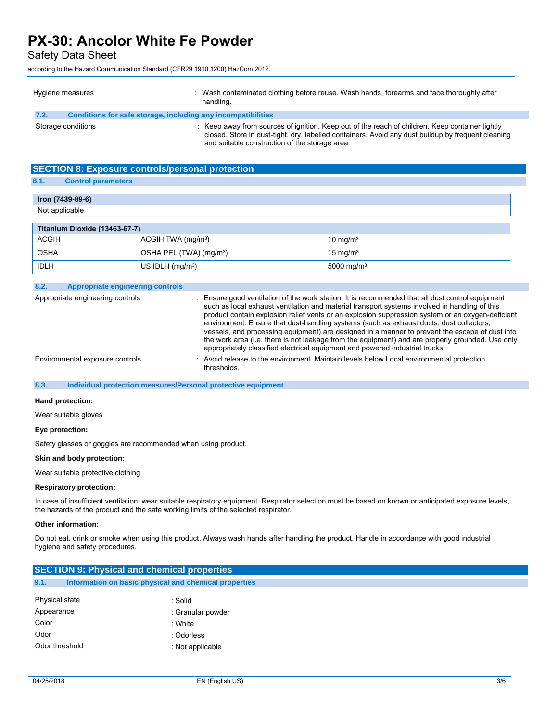Safety Data Sheet

according to the Hazard Communication Standard (CFR29 1910.1200) HazCom 2012.

| Hygiene measures                                                     | : Wash contaminated clothing before reuse. Wash hands, forearms and face thoroughly after<br>handling.                                                                                                                                                |
|----------------------------------------------------------------------|-------------------------------------------------------------------------------------------------------------------------------------------------------------------------------------------------------------------------------------------------------|
| Conditions for safe storage, including any incompatibilities<br>7.2. |                                                                                                                                                                                                                                                       |
| Storage conditions                                                   | Keep away from sources of ignition. Keep out of the reach of children. Keep container tightly<br>closed. Store in dust-tight, dry, labelled containers. Avoid any dust buildup by frequent cleaning<br>and suitable construction of the storage area. |

### **SECTION 8: Exposure controls/personal protection**

### **8.1. Control parameters**

| Iron (7439-89-6)              |                                     |                        |  |
|-------------------------------|-------------------------------------|------------------------|--|
| Not applicable                |                                     |                        |  |
|                               |                                     |                        |  |
| Titanium Dioxide (13463-67-7) |                                     |                        |  |
| <b>ACGIH</b>                  | ACGIH TWA (mg/m <sup>3</sup> )      | $10 \text{ mg/m}^3$    |  |
| <b>OSHA</b>                   | OSHA PEL (TWA) (mg/m <sup>3</sup> ) | $15 \text{ mg/m}^3$    |  |
| <b>IDLH</b>                   | US IDLH $(mq/m3)$                   | 5000 mg/m <sup>3</sup> |  |

### **8.2. Appropriate engineering controls**

Appropriate engineering controls : Ensure good ventilation of the work station. It is recommended that all dust control equipment such as local exhaust ventilation and material transport systems involved in handling of this product contain explosion relief vents or an explosion suppression system or an oxygen-deficient environment. Ensure that dust-handling systems (such as exhaust ducts, dust collectors, vessels, and processing equipment) are designed in a manner to prevent the escape of dust into the work area (i.e, there is not leakage from the equipment) and are properly grounded. Use only appropriately classified electrical equipment and powered industrial trucks. Environmental exposure controls : Avoid release to the environment. Maintain levels below Local environmental protection thresholds.

### **8.3. Individual protection measures/Personal protective equipment**

#### **Hand protection:**

Wear suitable gloves

#### **Eye protection:**

Safety glasses or goggles are recommended when using product.

#### **Skin and body protection:**

Wear suitable protective clothing

#### **Respiratory protection:**

In case of insufficient ventilation, wear suitable respiratory equipment. Respirator selection must be based on known or anticipated exposure levels, the hazards of the product and the safe working limits of the selected respirator.

### **Other information:**

Do not eat, drink or smoke when using this product. Always wash hands after handling the product. Handle in accordance with good industrial hygiene and safety procedures.

| <b>SECTION 9: Physical and chemical properties</b>            |                   |  |  |
|---------------------------------------------------------------|-------------------|--|--|
| 9.1.<br>Information on basic physical and chemical properties |                   |  |  |
| Physical state                                                | : Solid           |  |  |
| Appearance                                                    | : Granular powder |  |  |
| Color                                                         | : White           |  |  |
| Odor                                                          | : Odorless        |  |  |
| Odor threshold                                                | : Not applicable  |  |  |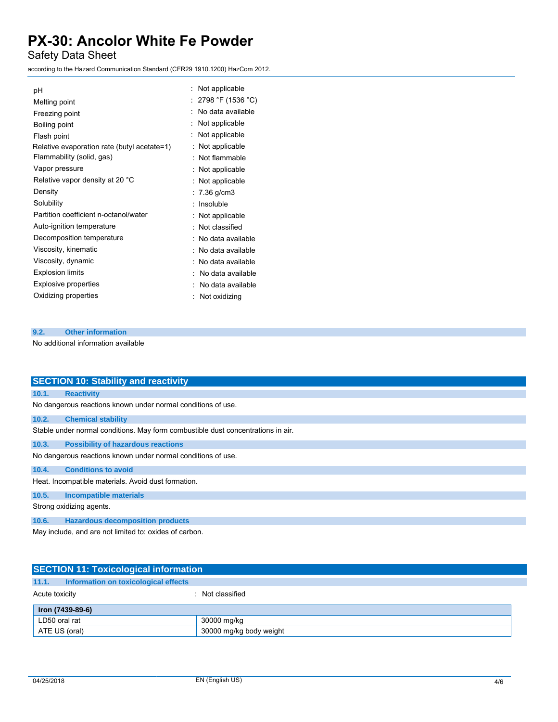Safety Data Sheet

according to the Hazard Communication Standard (CFR29 1910.1200) HazCom 2012.

| рH                                          | Not applicable      |
|---------------------------------------------|---------------------|
| Melting point                               | 2798 °F (1536 °C)   |
| Freezing point                              | No data available   |
| Boiling point                               | Not applicable      |
| Flash point                                 | Not applicable      |
| Relative evaporation rate (butyl acetate=1) | : Not applicable    |
| Flammability (solid, gas)                   | Not flammable       |
| Vapor pressure                              | : Not applicable    |
| Relative vapor density at 20 °C             | : Not applicable    |
| Density                                     | : $7.36$ g/cm3      |
| Solubility                                  | Insoluble           |
| Partition coefficient n-octanol/water       | : Not applicable    |
| Auto-ignition temperature                   | : Not classified    |
| Decomposition temperature                   | : No data available |
| Viscosity, kinematic                        | : No data available |
| Viscosity, dynamic                          | : No data available |
| <b>Explosion limits</b>                     | No data available   |
| Explosive properties                        | No data available   |
| Oxidizing properties                        | Not oxidizing       |

## **9.2. Other information**

No additional information available

|       | <b>SECTION 10: Stability and reactivity</b>                                      |  |  |
|-------|----------------------------------------------------------------------------------|--|--|
| 10.1. | <b>Reactivity</b>                                                                |  |  |
|       | No dangerous reactions known under normal conditions of use.                     |  |  |
| 10.2. | <b>Chemical stability</b>                                                        |  |  |
|       | Stable under normal conditions. May form combustible dust concentrations in air. |  |  |
| 10.3. | <b>Possibility of hazardous reactions</b>                                        |  |  |
|       | No dangerous reactions known under normal conditions of use.                     |  |  |
| 10.4. | <b>Conditions to avoid</b>                                                       |  |  |
|       | Heat. Incompatible materials. Avoid dust formation.                              |  |  |
| 10.5. | <b>Incompatible materials</b>                                                    |  |  |
|       | Strong oxidizing agents.                                                         |  |  |
| 10.6. | <b>Hazardous decomposition products</b>                                          |  |  |
|       | May include, and are not limited to: oxides of carbon.                           |  |  |

|                | <b>SECTION 11: Toxicological information</b> |                         |  |
|----------------|----------------------------------------------|-------------------------|--|
| 11.1.          | Information on toxicological effects         |                         |  |
| Acute toxicity |                                              | : Not classified        |  |
|                | Iron (7439-89-6)                             |                         |  |
| LD50 oral rat  |                                              | 30000 mg/kg             |  |
|                | ATE US (oral)                                | 30000 mg/kg body weight |  |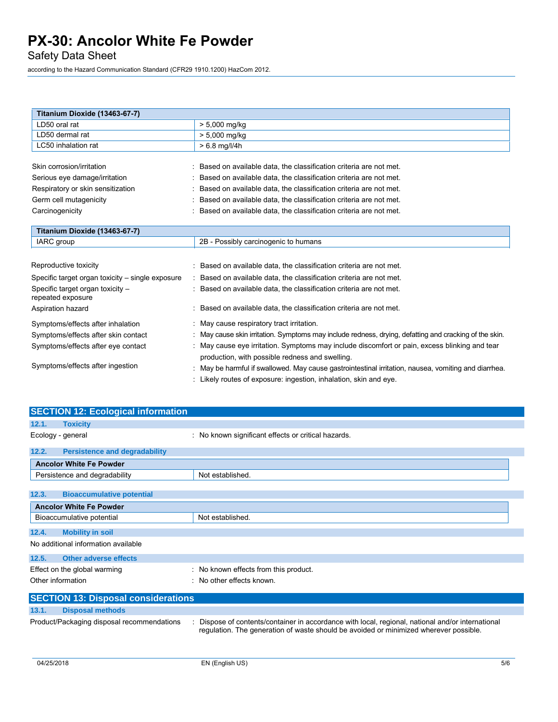Safety Data Sheet

according to the Hazard Communication Standard (CFR29 1910.1200) HazCom 2012.

| Titanium Dioxide (13463-67-7)                         |                                                                                                      |  |  |  |
|-------------------------------------------------------|------------------------------------------------------------------------------------------------------|--|--|--|
| LD50 oral rat                                         | $> 5,000$ mg/kg                                                                                      |  |  |  |
| LD50 dermal rat                                       | $> 5,000$ mg/kg                                                                                      |  |  |  |
| LC50 inhalation rat                                   | $> 6.8$ mg/l/4h                                                                                      |  |  |  |
|                                                       |                                                                                                      |  |  |  |
| Skin corrosion/irritation                             | : Based on available data, the classification criteria are not met.                                  |  |  |  |
| Serious eye damage/irritation                         | : Based on available data, the classification criteria are not met.                                  |  |  |  |
| Respiratory or skin sensitization                     | : Based on available data, the classification criteria are not met.                                  |  |  |  |
| Germ cell mutagenicity                                | Based on available data, the classification criteria are not met.                                    |  |  |  |
| Carcinogenicity                                       | Based on available data, the classification criteria are not met.                                    |  |  |  |
|                                                       |                                                                                                      |  |  |  |
| Titanium Dioxide (13463-67-7)                         |                                                                                                      |  |  |  |
| IARC group                                            | 2B - Possibly carcinogenic to humans                                                                 |  |  |  |
|                                                       |                                                                                                      |  |  |  |
| Reproductive toxicity                                 | Based on available data, the classification criteria are not met.                                    |  |  |  |
| Specific target organ toxicity – single exposure      | : Based on available data, the classification criteria are not met.                                  |  |  |  |
| Specific target organ toxicity -<br>repeated exposure | : Based on available data, the classification criteria are not met.                                  |  |  |  |
| Aspiration hazard                                     | Based on available data, the classification criteria are not met.                                    |  |  |  |
| Symptoms/effects after inhalation                     | May cause respiratory tract irritation.                                                              |  |  |  |
| Symptoms/effects after skin contact                   | May cause skin irritation. Symptoms may include redness, drying, defatting and cracking of the skin. |  |  |  |
| Symptoms/effects after eye contact                    | May cause eye irritation. Symptoms may include discomfort or pain, excess blinking and tear          |  |  |  |
|                                                       | production, with possible redness and swelling.                                                      |  |  |  |
| Symptoms/effects after ingestion                      | May be harmful if swallowed. May cause gastrointestinal irritation, nausea, vomiting and diarrhea.   |  |  |  |
|                                                       | : Likely routes of exposure: ingestion, inhalation, skin and eye.                                    |  |  |  |

| <b>SECTION 12: Ecological information</b> |                                            |                                                                                                                                                                                          |  |
|-------------------------------------------|--------------------------------------------|------------------------------------------------------------------------------------------------------------------------------------------------------------------------------------------|--|
| 12.1.                                     | <b>Toxicity</b>                            |                                                                                                                                                                                          |  |
|                                           | Ecology - general                          | : No known significant effects or critical hazards.                                                                                                                                      |  |
| 12.2.                                     | <b>Persistence and degradability</b>       |                                                                                                                                                                                          |  |
|                                           | <b>Ancolor White Fe Powder</b>             |                                                                                                                                                                                          |  |
|                                           | Persistence and degradability              | Not established.                                                                                                                                                                         |  |
|                                           |                                            |                                                                                                                                                                                          |  |
| 12.3.                                     | <b>Bioaccumulative potential</b>           |                                                                                                                                                                                          |  |
| <b>Ancolor White Fe Powder</b>            |                                            |                                                                                                                                                                                          |  |
|                                           | Bioaccumulative potential                  | Not established.                                                                                                                                                                         |  |
| 12.4.                                     | <b>Mobility in soil</b>                    |                                                                                                                                                                                          |  |
| No additional information available       |                                            |                                                                                                                                                                                          |  |
| 12.5.                                     | Other adverse effects                      |                                                                                                                                                                                          |  |
|                                           | Effect on the global warming               | : No known effects from this product.                                                                                                                                                    |  |
|                                           | Other information                          | No other effects known                                                                                                                                                                   |  |
|                                           | <b>SECTION 13: Disposal considerations</b> |                                                                                                                                                                                          |  |
| 13.1.                                     | <b>Disposal methods</b>                    |                                                                                                                                                                                          |  |
|                                           | Product/Packaging disposal recommendations | Dispose of contents/container in accordance with local, regional, national and/or international<br>regulation. The generation of waste should be avoided or minimized wherever possible. |  |